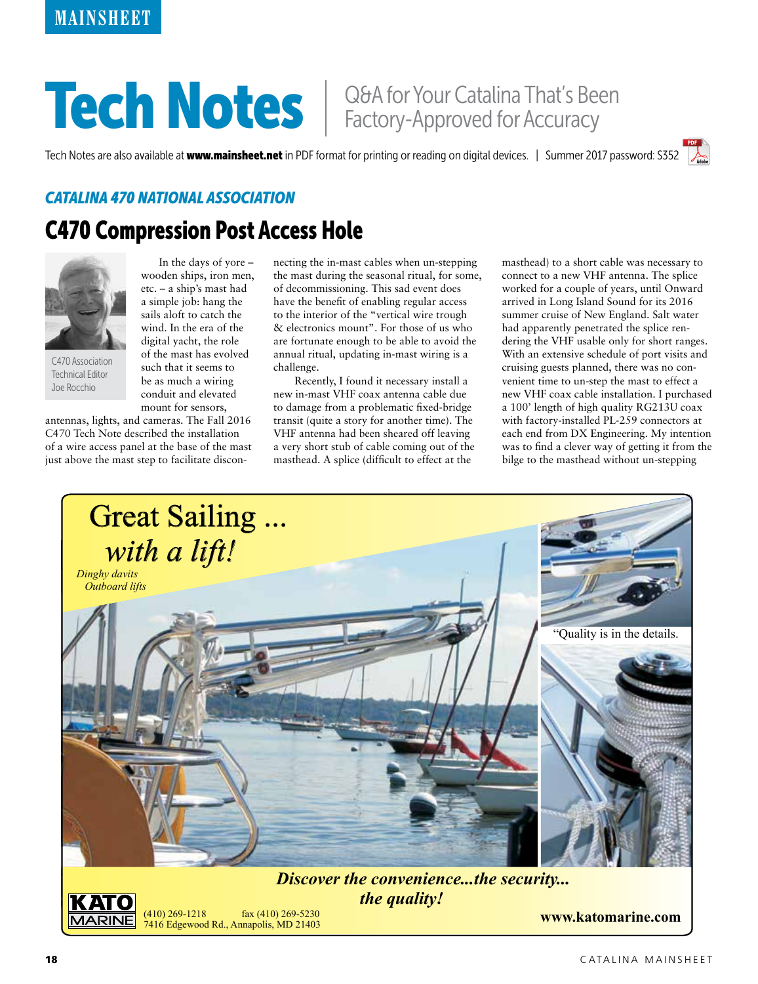# Tech Notes | Q&A for Your Catalina That's Been

Tech Notes are also available at www.mainsheet.net in PDF format for printing or reading on digital devices. | Summer 2017 password: S352



#### *CATALINA 470 NATIONAL ASSOCIATION*

## C470 Compression Post Access Hole

In the days of yore – wooden ships, iron men, etc. – a ship's mast had a simple job: hang the



C470 Association Technical Editor Joe Rocchio

sails aloft to catch the wind. In the era of the digital yacht, the role of the mast has evolved such that it seems to be as much a wiring conduit and elevated mount for sensors,

antennas, lights, and cameras. The Fall 2016 C470 Tech Note described the installation of a wire access panel at the base of the mast just above the mast step to facilitate disconnecting the in-mast cables when un-stepping the mast during the seasonal ritual, for some, of decommissioning. This sad event does have the benefit of enabling regular access to the interior of the "vertical wire trough & electronics mount". For those of us who are fortunate enough to be able to avoid the annual ritual, updating in-mast wiring is a challenge.

Recently, I found it necessary install a new in-mast VHF coax antenna cable due to damage from a problematic fixed-bridge transit (quite a story for another time). The VHF antenna had been sheared off leaving a very short stub of cable coming out of the masthead. A splice (difficult to effect at the

masthead) to a short cable was necessary to connect to a new VHF antenna. The splice worked for a couple of years, until Onward arrived in Long Island Sound for its 2016 summer cruise of New England. Salt water had apparently penetrated the splice rendering the VHF usable only for short ranges. With an extensive schedule of port visits and cruising guests planned, there was no convenient time to un-step the mast to effect a new VHF coax cable installation. I purchased a 100' length of high quality RG213U coax with factory-installed PL-259 connectors at each end from DX Engineering. My intention was to find a clever way of getting it from the bilge to the masthead without un-stepping



### *Discover the convenience...the security... the quality!*

**www.katomarine.com** 7416 Edgewood Rd., Annapolis, MD 21403 fax (410) 269-5230